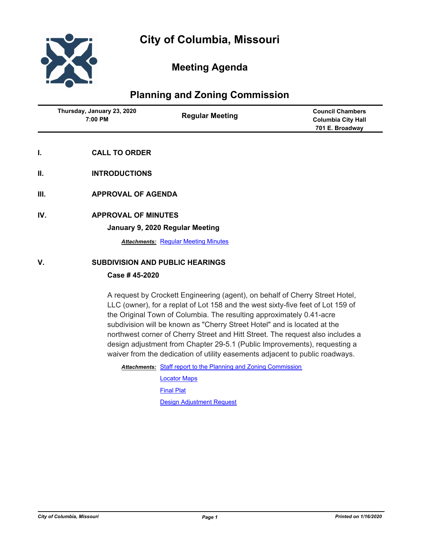

# **Meeting Agenda**

## **Planning and Zoning Commission**

| Thursday, January 23, 2020<br>7:00 PM | <b>Regular Meeting</b> | <b>Council Chambers</b><br><b>Columbia City Hall</b><br>701 E. Broadway |
|---------------------------------------|------------------------|-------------------------------------------------------------------------|
|                                       |                        |                                                                         |

- **I. CALL TO ORDER**
- **II. INTRODUCTIONS**
- **III. APPROVAL OF AGENDA**
- **IV. APPROVAL OF MINUTES**

**January 9, 2020 Regular Meeting**

**Attachments: [Regular Meeting Minutes](http://gocolumbiamo.legistar.com/gateway.aspx?M=F&ID=b8a1b4ab-f872-43c0-8e89-37c748b7bb10.docx)** 

## **V. SUBDIVISION AND PUBLIC HEARINGS**

## **Case # 45-2020**

A request by Crockett Engineering (agent), on behalf of Cherry Street Hotel, LLC (owner), for a replat of Lot 158 and the west sixty-five feet of Lot 159 of the Original Town of Columbia. The resulting approximately 0.41-acre subdivision will be known as "Cherry Street Hotel" and is located at the northwest corner of Cherry Street and Hitt Street. The request also includes a design adjustment from Chapter 29-5.1 (Public Improvements), requesting a waiver from the dedication of utility easements adjacent to public roadways.

Attachments: [Staff report to the Planning and Zoning Commission](http://gocolumbiamo.legistar.com/gateway.aspx?M=F&ID=68ee39bc-0493-4f05-9503-60e96ed4787e.docx)

[Locator Maps](http://gocolumbiamo.legistar.com/gateway.aspx?M=F&ID=d25196af-8b24-44c4-a748-251e81785412.pdf) [Final Plat](http://gocolumbiamo.legistar.com/gateway.aspx?M=F&ID=a92f29fd-97b9-471c-badf-7360c829ffd9.pdf) [Design Adjustment Request](http://gocolumbiamo.legistar.com/gateway.aspx?M=F&ID=673c0e0e-8efc-4c8f-b80f-822d5d358ff7.pdf)